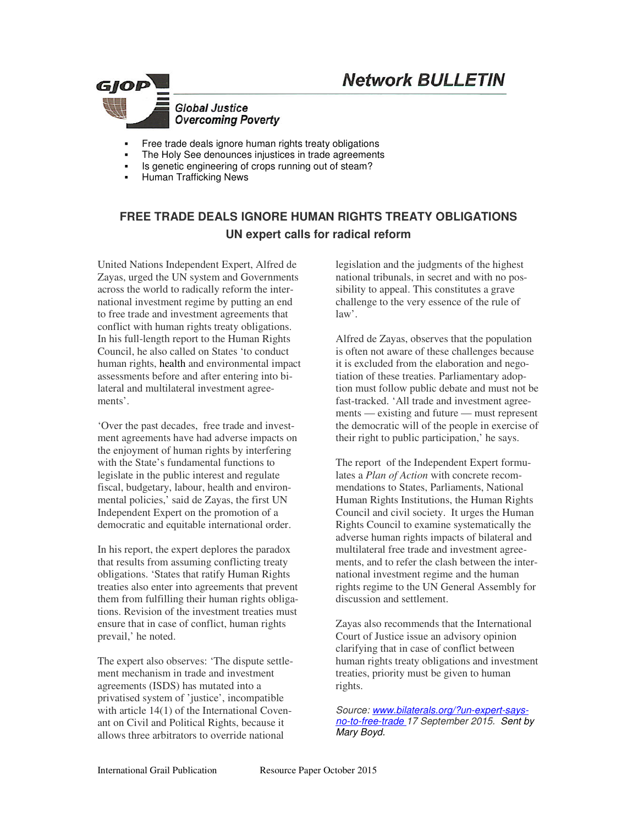# **Network BULLETIN**



- Free trade deals ignore human rights treaty obligations
- The Holy See denounces injustices in trade agreements
- Is genetic engineering of crops running out of steam?
- Human Trafficking News

## **FREE TRADE DEALS IGNORE HUMAN RIGHTS TREATY OBLIGATIONS UN expert calls for radical reform**

United Nations Independent Expert, Alfred de Zayas, urged the UN system and Governments across the world to radically reform the international investment regime by putting an end to free trade and investment agreements that conflict with human rights treaty obligations. In his full-length report to the Human Rights Council, he also called on States 'to conduct human rights, health and environmental impact assessments before and after entering into bilateral and multilateral investment agreements'.

'Over the past decades, free trade and investment agreements have had adverse impacts on the enjoyment of human rights by interfering with the State's fundamental functions to legislate in the public interest and regulate fiscal, budgetary, labour, health and environmental policies,' said de Zayas, the first UN Independent Expert on the promotion of a democratic and equitable international order.

In his report, the expert deplores the paradox that results from assuming conflicting treaty obligations. 'States that ratify Human Rights treaties also enter into agreements that prevent them from fulfilling their human rights obligations. Revision of the investment treaties must ensure that in case of conflict, human rights prevail,' he noted.

The expert also observes: 'The dispute settlement mechanism in trade and investment agreements (ISDS) has mutated into a privatised system of 'justice', incompatible with article 14(1) of the International Covenant on Civil and Political Rights, because it allows three arbitrators to override national

legislation and the judgments of the highest national tribunals, in secret and with no possibility to appeal. This constitutes a grave challenge to the very essence of the rule of  $law'.$ 

Alfred de Zayas, observes that the population is often not aware of these challenges because it is excluded from the elaboration and negotiation of these treaties. Parliamentary adoption must follow public debate and must not be fast-tracked. 'All trade and investment agreements — existing and future — must represent the democratic will of the people in exercise of their right to public participation,' he says.

The report of the Independent Expert formulates a *Plan of Action* with concrete recommendations to States, Parliaments, National Human Rights Institutions, the Human Rights Council and civil society. It urges the Human Rights Council to examine systematically the adverse human rights impacts of bilateral and multilateral free trade and investment agreements, and to refer the clash between the international investment regime and the human rights regime to the UN General Assembly for discussion and settlement.

Zayas also recommends that the International Court of Justice issue an advisory opinion clarifying that in case of conflict between human rights treaty obligations and investment treaties, priority must be given to human rights.

*Source: www.bilaterals.org/?un-expert-saysno-to-free-trade 17 September 2015. Sent by Mary Boyd.*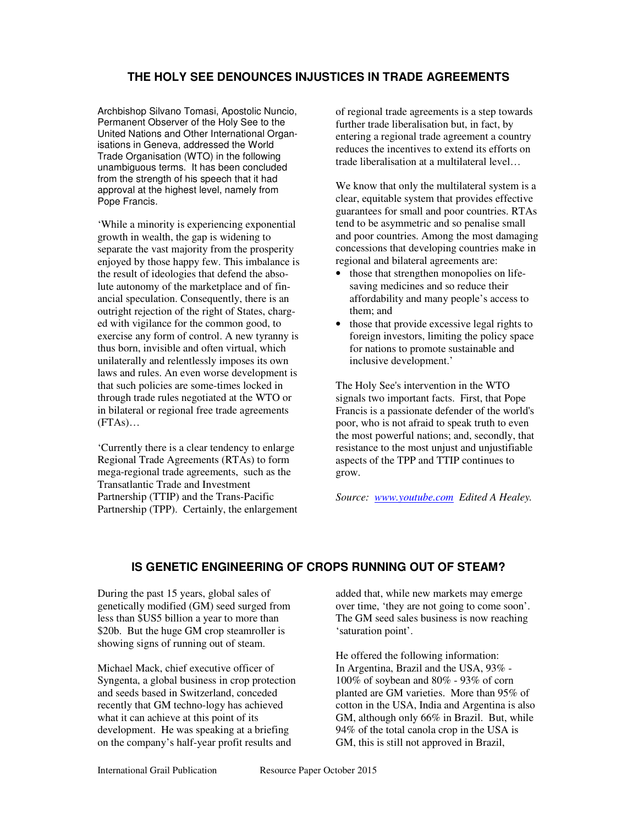## **THE HOLY SEE DENOUNCES INJUSTICES IN TRADE AGREEMENTS**

Archbishop Silvano Tomasi, Apostolic Nuncio, Permanent Observer of the Holy See to the United Nations and Other International Organisations in Geneva, addressed the World Trade Organisation (WTO) in the following unambiguous terms. It has been concluded from the strength of his speech that it had approval at the highest level, namely from Pope Francis.

'While a minority is experiencing exponential growth in wealth, the gap is widening to separate the vast majority from the prosperity enjoyed by those happy few. This imbalance is the result of ideologies that defend the absolute autonomy of the marketplace and of financial speculation. Consequently, there is an outright rejection of the right of States, charged with vigilance for the common good, to exercise any form of control. A new tyranny is thus born, invisible and often virtual, which unilaterally and relentlessly imposes its own laws and rules. An even worse development is that such policies are some-times locked in through trade rules negotiated at the WTO or in bilateral or regional free trade agreements  $(FTAs)...$ 

'Currently there is a clear tendency to enlarge Regional Trade Agreements (RTAs) to form mega-regional trade agreements, such as the Transatlantic Trade and Investment Partnership (TTIP) and the Trans-Pacific Partnership (TPP). Certainly, the enlargement of regional trade agreements is a step towards further trade liberalisation but, in fact, by entering a regional trade agreement a country reduces the incentives to extend its efforts on trade liberalisation at a multilateral level…

We know that only the multilateral system is a clear, equitable system that provides effective guarantees for small and poor countries. RTAs tend to be asymmetric and so penalise small and poor countries. Among the most damaging concessions that developing countries make in regional and bilateral agreements are:

- those that strengthen monopolies on lifesaving medicines and so reduce their affordability and many people's access to them; and
- those that provide excessive legal rights to foreign investors, limiting the policy space for nations to promote sustainable and inclusive development.'

The Holy See's intervention in the WTO signals two important facts. First, that Pope Francis is a passionate defender of the world's poor, who is not afraid to speak truth to even the most powerful nations; and, secondly, that resistance to the most unjust and unjustifiable aspects of the TPP and TTIP continues to grow.

*Source: www.youtube.com Edited A Healey.*

## **IS GENETIC ENGINEERING OF CROPS RUNNING OUT OF STEAM?**

During the past 15 years, global sales of genetically modified (GM) seed surged from less than \$US5 billion a year to more than \$20b. But the huge GM crop steamroller is showing signs of running out of steam.

Michael Mack, chief executive officer of Syngenta, a global business in crop protection and seeds based in Switzerland, conceded recently that GM techno-logy has achieved what it can achieve at this point of its development. He was speaking at a briefing on the company's half-year profit results and

added that, while new markets may emerge over time, 'they are not going to come soon'. The GM seed sales business is now reaching 'saturation point'.

He offered the following information: In Argentina, Brazil and the USA, 93% - 100% of soybean and 80% - 93% of corn planted are GM varieties. More than 95% of cotton in the USA, India and Argentina is also GM, although only 66% in Brazil. But, while 94% of the total canola crop in the USA is GM, this is still not approved in Brazil,

International Grail Publication<br>
Resource Paper October 2015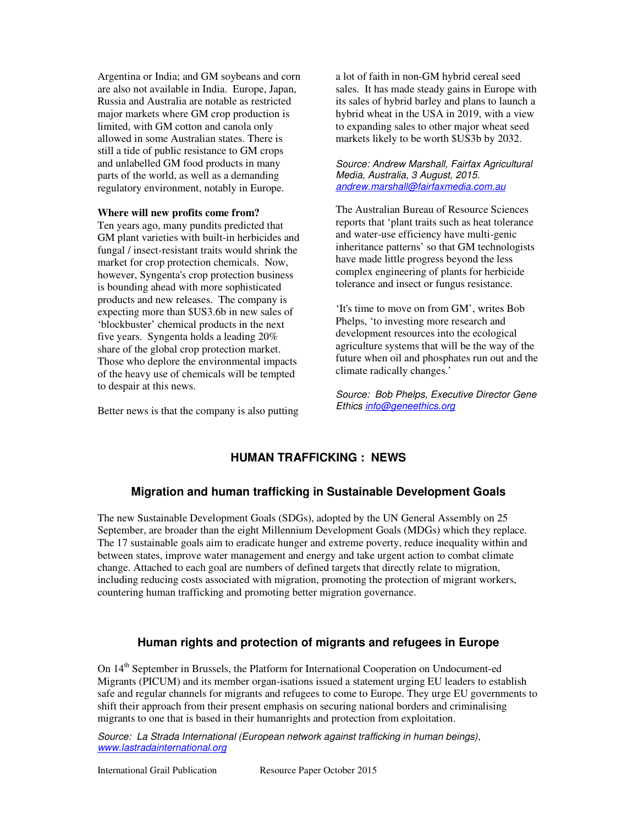Argentina or India; and GM soybeans and corn are also not available in India. Europe, Japan, Russia and Australia are notable as restricted major markets where GM crop production is limited, with GM cotton and canola only allowed in some Australian states. There is still a tide of public resistance to GM crops and unlabelled GM food products in many parts of the world, as well as a demanding regulatory environment, notably in Europe.

#### **Where will new profits come from?**

Ten years ago, many pundits predicted that GM plant varieties with built-in herbicides and fungal / insect-resistant traits would shrink the market for crop protection chemicals. Now, however, Syngenta's crop protection business is bounding ahead with more sophisticated products and new releases. The company is expecting more than \$US3.6b in new sales of 'blockbuster' chemical products in the next five years. Syngenta holds a leading 20% share of the global crop protection market. Those who deplore the environmental impacts of the heavy use of chemicals will be tempted to despair at this news.

Better news is that the company is also putting

a lot of faith in non-GM hybrid cereal seed sales. It has made steady gains in Europe with its sales of hybrid barley and plans to launch a hybrid wheat in the USA in 2019, with a view to expanding sales to other major wheat seed markets likely to be worth \$US3b by 2032.

#### *Source: Andrew Marshall, Fairfax Agricultural Media, Australia, 3 August, 2015. andrew.marshall@fairfaxmedia.com.au*

The Australian Bureau of Resource Sciences reports that 'plant traits such as heat tolerance and water-use efficiency have multi-genic inheritance patterns' so that GM technologists have made little progress beyond the less complex engineering of plants for herbicide tolerance and insect or fungus resistance.

'It's time to move on from GM', writes Bob Phelps, 'to investing more research and development resources into the ecological agriculture systems that will be the way of the future when oil and phosphates run out and the climate radically changes.'

*Source: Bob Phelps, Executive Director Gene Ethics info@geneethics.org*

#### **HUMAN TRAFFICKING : NEWS**

#### **Migration and human trafficking in Sustainable Development Goals**

The new Sustainable Development Goals (SDGs), adopted by the UN General Assembly on 25 September, are broader than the eight Millennium Development Goals (MDGs) which they replace. The 17 sustainable goals aim to eradicate hunger and extreme poverty, reduce inequality within and between states, improve water management and energy and take urgent action to combat climate change. Attached to each goal are numbers of defined targets that directly relate to migration, including reducing costs associated with migration, promoting the protection of migrant workers, countering human trafficking and promoting better migration governance.

#### **Human rights and protection of migrants and refugees in Europe**

On 14<sup>th</sup> September in Brussels, the Platform for International Cooperation on Undocument-ed Migrants (PICUM) and its member organ-isations issued a statement urging EU leaders to establish safe and regular channels for migrants and refugees to come to Europe. They urge EU governments to shift their approach from their present emphasis on securing national borders and criminalising migrants to one that is based in their humanrights and protection from exploitation.

*Source: La Strada International (European network against trafficking in human beings), www.lastradainternational.org*